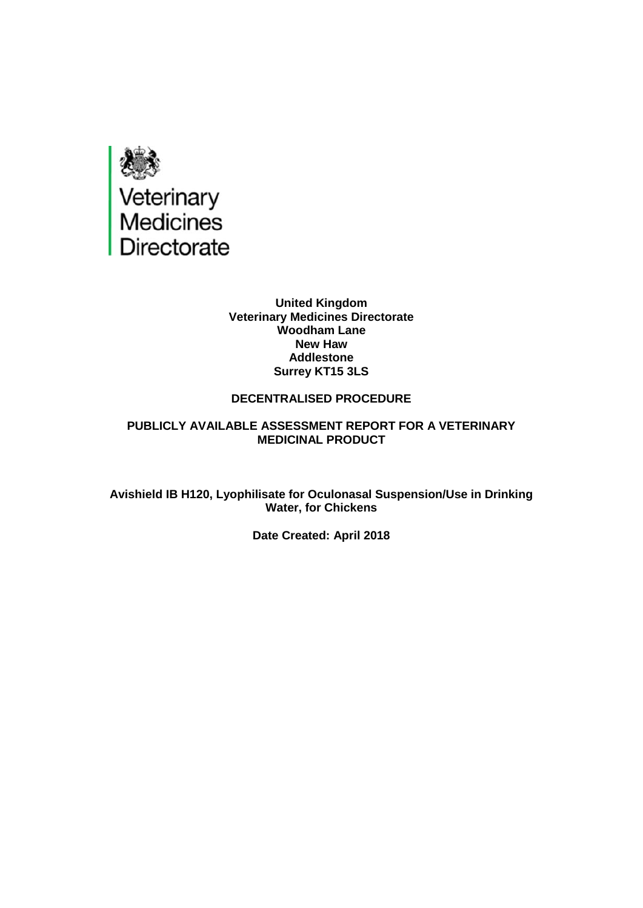

#### **United Kingdom Veterinary Medicines Directorate Woodham Lane New Haw Addlestone Surrey KT15 3LS**

#### **DECENTRALISED PROCEDURE**

#### **PUBLICLY AVAILABLE ASSESSMENT REPORT FOR A VETERINARY MEDICINAL PRODUCT**

**Avishield IB H120, Lyophilisate for Oculonasal Suspension/Use in Drinking Water, for Chickens**

**Date Created: April 2018**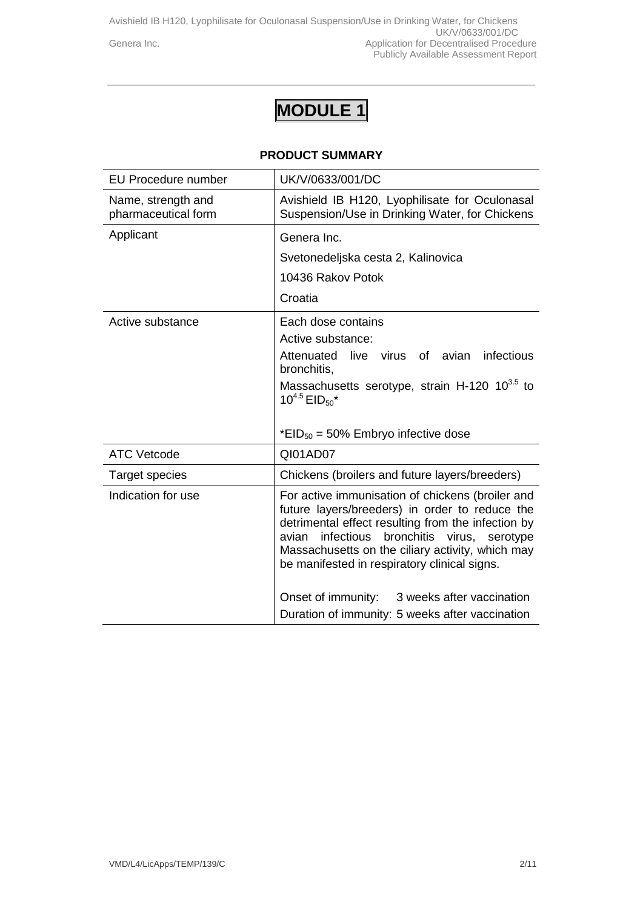# **MODULE 1**

#### **PRODUCT SUMMARY**

| <b>EU Procedure number</b>                | UK/V/0633/001/DC                                                                                                                                                                                                                                                                                                                                                                                                           |
|-------------------------------------------|----------------------------------------------------------------------------------------------------------------------------------------------------------------------------------------------------------------------------------------------------------------------------------------------------------------------------------------------------------------------------------------------------------------------------|
| Name, strength and<br>pharmaceutical form | Avishield IB H120, Lyophilisate for Oculonasal<br>Suspension/Use in Drinking Water, for Chickens                                                                                                                                                                                                                                                                                                                           |
| Applicant                                 | Genera Inc.<br>Svetonedeljska cesta 2, Kalinovica<br>10436 Rakov Potok<br>Croatia                                                                                                                                                                                                                                                                                                                                          |
| Active substance                          | Each dose contains<br>Active substance:<br>live virus of avian infectious<br>Attenuated<br>bronchitis,<br>Massachusetts serotype, strain H-120 10 <sup>3.5</sup> to<br>$10^{4.5}$ EID <sub>50</sub> <sup>*</sup><br>*EID <sub>50</sub> = 50% Embryo infective dose                                                                                                                                                         |
| <b>ATC Vetcode</b>                        | QI01AD07                                                                                                                                                                                                                                                                                                                                                                                                                   |
| <b>Target species</b>                     | Chickens (broilers and future layers/breeders)                                                                                                                                                                                                                                                                                                                                                                             |
| Indication for use                        | For active immunisation of chickens (broiler and<br>future layers/breeders) in order to reduce the<br>detrimental effect resulting from the infection by<br>infectious<br>bronchitis<br>avian<br>virus, serotype<br>Massachusetts on the ciliary activity, which may<br>be manifested in respiratory clinical signs.<br>Onset of immunity:<br>3 weeks after vaccination<br>Duration of immunity: 5 weeks after vaccination |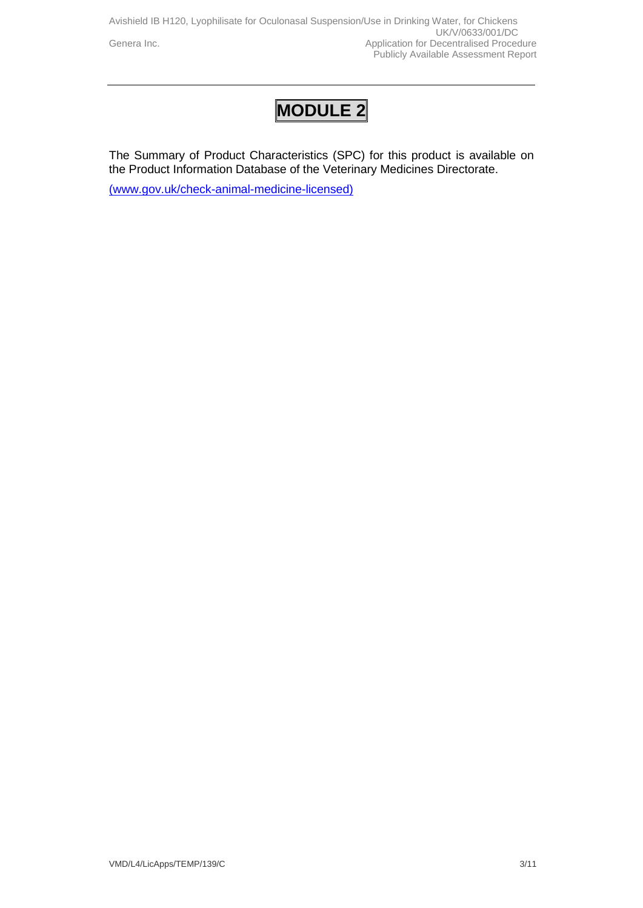Avishield IB H120, Lyophilisate for Oculonasal Suspension/Use in Drinking Water, for Chickens UK/V/0633/001/DC<br>UK/V/0633/001/DC<br>Application for Decentralised Proce Application for Decentralised Procedure Publicly Available Assessment Report

## **MODULE 2**

The Summary of Product Characteristics (SPC) for this product is available on the Product Information Database of the Veterinary Medicines Directorate.

[\(www.gov.uk/check-animal-medicine-licensed\)](http://(www.gov.uk/check-animal-medicine-licensed))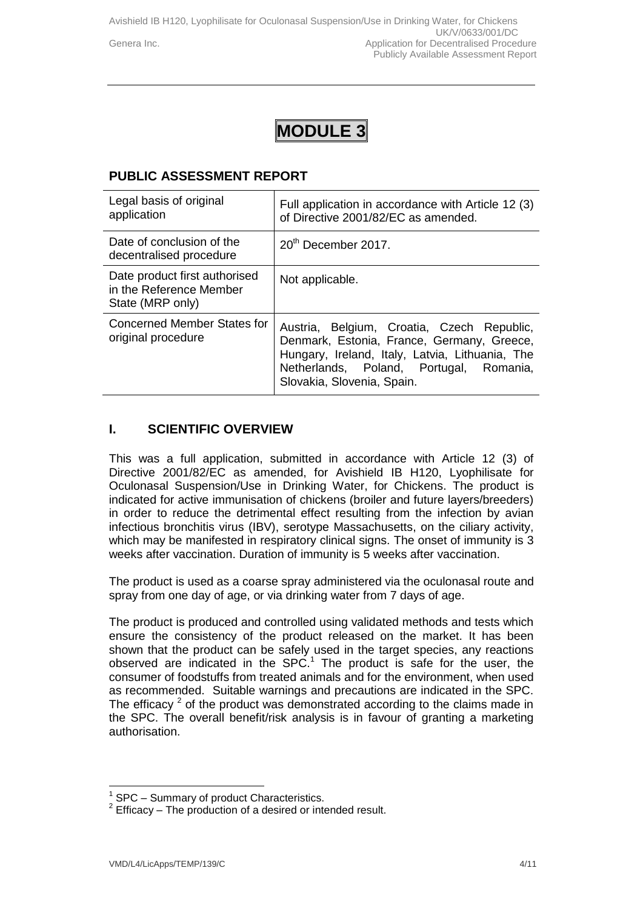Avishield IB H120, Lyophilisate for Oculonasal Suspension/Use in Drinking Water, for Chickens UK/V/0633/001/DC Genera Inc. **Application for Decentralised Procedure** Ceneral Application for Decentralised Procedure Publicly Available Assessment Report

## **MODULE 3**

## **PUBLIC ASSESSMENT REPORT**

| Legal basis of original<br>application                                       | Full application in accordance with Article 12 (3)<br>of Directive 2001/82/EC as amended.                                                                                                                            |
|------------------------------------------------------------------------------|----------------------------------------------------------------------------------------------------------------------------------------------------------------------------------------------------------------------|
| Date of conclusion of the<br>decentralised procedure                         | 20 <sup>th</sup> December 2017.                                                                                                                                                                                      |
| Date product first authorised<br>in the Reference Member<br>State (MRP only) | Not applicable.                                                                                                                                                                                                      |
| Concerned Member States for<br>original procedure                            | Austria, Belgium, Croatia, Czech Republic,<br>Denmark, Estonia, France, Germany, Greece,<br>Hungary, Ireland, Italy, Latvia, Lithuania, The<br>Netherlands, Poland, Portugal, Romania,<br>Slovakia, Slovenia, Spain. |

### **I. SCIENTIFIC OVERVIEW**

This was a full application, submitted in accordance with Article 12 (3) of Directive 2001/82/EC as amended, for Avishield IB H120, Lyophilisate for Oculonasal Suspension/Use in Drinking Water, for Chickens. The product is indicated for active immunisation of chickens (broiler and future layers/breeders) in order to reduce the detrimental effect resulting from the infection by avian infectious bronchitis virus (IBV), serotype Massachusetts, on the ciliary activity, which may be manifested in respiratory clinical signs. The onset of immunity is 3 weeks after vaccination. Duration of immunity is 5 weeks after vaccination.

The product is used as a coarse spray administered via the oculonasal route and spray from one day of age, or via drinking water from 7 days of age.

The product is produced and controlled using validated methods and tests which ensure the consistency of the product released on the market. It has been shown that the product can be safely used in the target species, any reactions observed are indicated in the  $SPC<sup>1</sup>$ . The product is safe for the user, the consumer of foodstuffs from treated animals and for the environment, when used as recommended. Suitable warnings and precautions are indicated in the SPC. The efficacy  $2$  of the product was demonstrated according to the claims made in the SPC. The overall benefit/risk analysis is in favour of granting a marketing authorisation.

 $\overline{1}$ 1 SPC – Summary of product Characteristics.

 $2$  Efficacy – The production of a desired or intended result.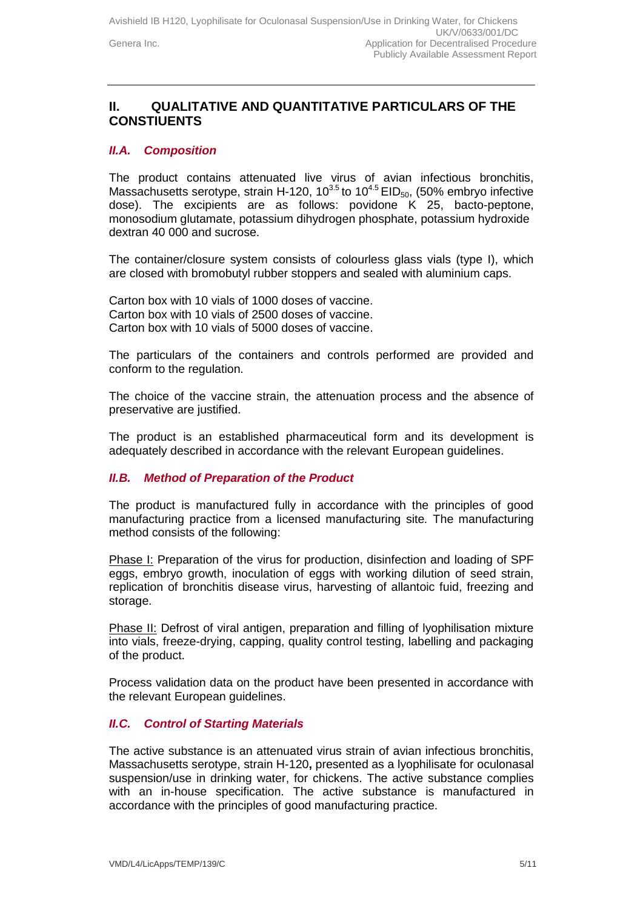## **II. QUALITATIVE AND QUANTITATIVE PARTICULARS OF THE CONSTIUENTS**

#### *II.A. Composition*

The product contains attenuated live virus of avian infectious bronchitis, Massachusetts serotype, strain H-120, 10<sup>3.5</sup> to 10<sup>4.5</sup> EID<sub>50</sub>, (50% embryo infective dose). The excipients are as follows: povidone K 25, bacto-peptone, monosodium glutamate, potassium dihydrogen phosphate, potassium hydroxide dextran 40 000 and sucrose.

The container/closure system consists of colourless glass vials (type I), which are closed with bromobutyl rubber stoppers and sealed with aluminium caps.

Carton box with 10 vials of 1000 doses of vaccine. Carton box with 10 vials of 2500 doses of vaccine. Carton box with 10 vials of 5000 doses of vaccine.

The particulars of the containers and controls performed are provided and conform to the regulation.

The choice of the vaccine strain, the attenuation process and the absence of preservative are justified.

The product is an established pharmaceutical form and its development is adequately described in accordance with the relevant European guidelines.

#### *II.B. Method of Preparation of the Product*

The product is manufactured fully in accordance with the principles of good manufacturing practice from a licensed manufacturing site*.* The manufacturing method consists of the following:

Phase I: Preparation of the virus for production, disinfection and loading of SPF eggs, embryo growth, inoculation of eggs with working dilution of seed strain, replication of bronchitis disease virus, harvesting of allantoic fuid, freezing and storage.

Phase II: Defrost of viral antigen, preparation and filling of lyophilisation mixture into vials, freeze-drying, capping, quality control testing, labelling and packaging of the product.

Process validation data on the product have been presented in accordance with the relevant European guidelines.

#### *II.C. Control of Starting Materials*

The active substance is an attenuated virus strain of avian infectious bronchitis, Massachusetts serotype, strain H-120**,** presented as a lyophilisate for oculonasal suspension/use in drinking water, for chickens. The active substance complies with an in-house specification. The active substance is manufactured in accordance with the principles of good manufacturing practice.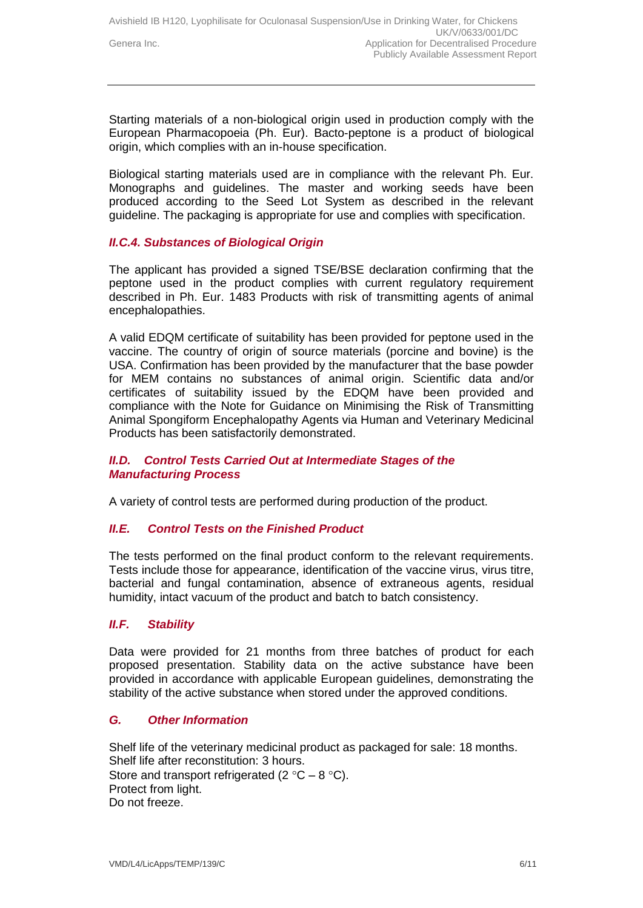Starting materials of a non-biological origin used in production comply with the European Pharmacopoeia (Ph. Eur). Bacto-peptone is a product of biological origin, which complies with an in-house specification.

Biological starting materials used are in compliance with the relevant Ph. Eur. Monographs and guidelines. The master and working seeds have been produced according to the Seed Lot System as described in the relevant guideline. The packaging is appropriate for use and complies with specification.

### *II.C.4. Substances of Biological Origin*

The applicant has provided a signed TSE/BSE declaration confirming that the peptone used in the product complies with current regulatory requirement described in Ph. Eur. 1483 Products with risk of transmitting agents of animal encephalopathies.

A valid EDQM certificate of suitability has been provided for peptone used in the vaccine. The country of origin of source materials (porcine and bovine) is the USA. Confirmation has been provided by the manufacturer that the base powder for MEM contains no substances of animal origin. Scientific data and/or certificates of suitability issued by the EDQM have been provided and compliance with the Note for Guidance on Minimising the Risk of Transmitting Animal Spongiform Encephalopathy Agents via Human and Veterinary Medicinal Products has been satisfactorily demonstrated.

#### *II.D. Control Tests Carried Out at Intermediate Stages of the Manufacturing Process*

A variety of control tests are performed during production of the product.

#### *II.E. Control Tests on the Finished Product*

The tests performed on the final product conform to the relevant requirements. Tests include those for appearance, identification of the vaccine virus, virus titre, bacterial and fungal contamination, absence of extraneous agents, residual humidity, intact vacuum of the product and batch to batch consistency.

#### *II.F. Stability*

Data were provided for 21 months from three batches of product for each proposed presentation. Stability data on the active substance have been provided in accordance with applicable European guidelines, demonstrating the stability of the active substance when stored under the approved conditions.

#### *G. Other Information*

Shelf life of the veterinary medicinal product as packaged for sale: 18 months. Shelf life after reconstitution: 3 hours. Store and transport refrigerated (2  $\degree$ C – 8  $\degree$ C). Protect from light. Do not freeze.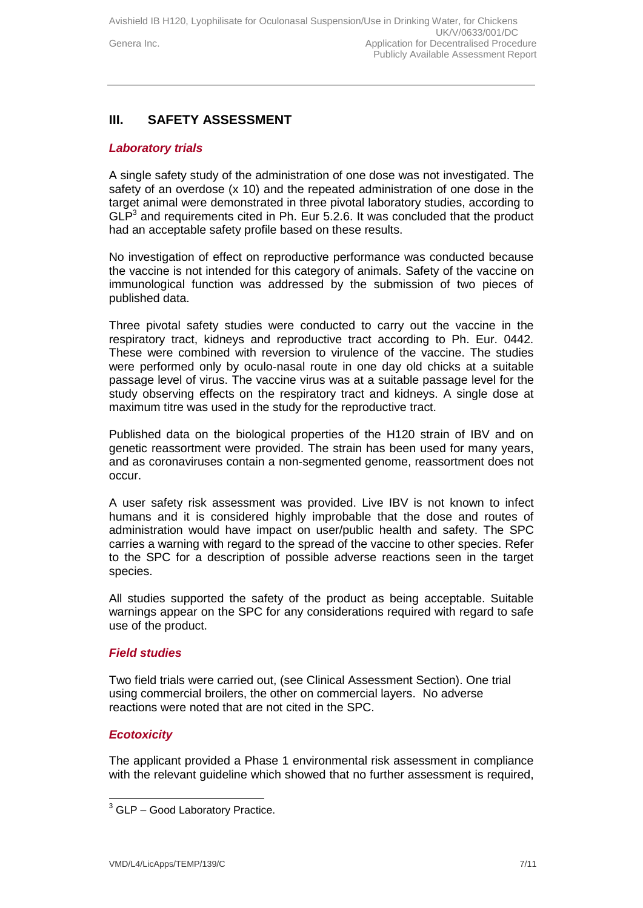## **III. SAFETY ASSESSMENT**

#### *Laboratory trials*

A single safety study of the administration of one dose was not investigated. The safety of an overdose (x 10) and the repeated administration of one dose in the target animal were demonstrated in three pivotal laboratory studies, according to  $GLP<sup>3</sup>$  and requirements cited in Ph. Eur 5.2.6. It was concluded that the product had an acceptable safety profile based on these results.

No investigation of effect on reproductive performance was conducted because the vaccine is not intended for this category of animals. Safety of the vaccine on immunological function was addressed by the submission of two pieces of published data.

Three pivotal safety studies were conducted to carry out the vaccine in the respiratory tract, kidneys and reproductive tract according to Ph. Eur. 0442. These were combined with reversion to virulence of the vaccine. The studies were performed only by oculo-nasal route in one day old chicks at a suitable passage level of virus. The vaccine virus was at a suitable passage level for the study observing effects on the respiratory tract and kidneys. A single dose at maximum titre was used in the study for the reproductive tract.

Published data on the biological properties of the H120 strain of IBV and on genetic reassortment were provided. The strain has been used for many years, and as coronaviruses contain a non-segmented genome, reassortment does not occur.

A user safety risk assessment was provided. Live IBV is not known to infect humans and it is considered highly improbable that the dose and routes of administration would have impact on user/public health and safety. The SPC carries a warning with regard to the spread of the vaccine to other species. Refer to the SPC for a description of possible adverse reactions seen in the target species.

All studies supported the safety of the product as being acceptable. Suitable warnings appear on the SPC for any considerations required with regard to safe use of the product.

#### *Field studies*

Two field trials were carried out, (see Clinical Assessment Section). One trial using commercial broilers, the other on commercial layers. No adverse reactions were noted that are not cited in the SPC.

#### *Ecotoxicity*

-

The applicant provided a Phase 1 environmental risk assessment in compliance with the relevant guideline which showed that no further assessment is required,

 $3$  GLP – Good Laboratory Practice.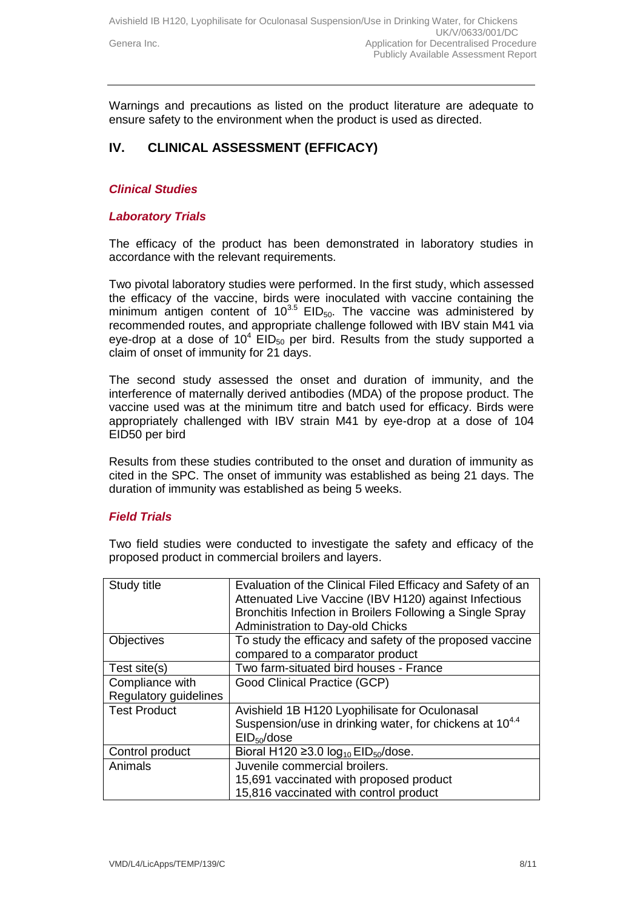Warnings and precautions as listed on the product literature are adequate to ensure safety to the environment when the product is used as directed.

## **IV. CLINICAL ASSESSMENT (EFFICACY)**

#### *Clinical Studies*

#### *Laboratory Trials*

The efficacy of the product has been demonstrated in laboratory studies in accordance with the relevant requirements.

Two pivotal laboratory studies were performed. In the first study, which assessed the efficacy of the vaccine, birds were inoculated with vaccine containing the minimum antigen content of  $10^{3.5}$  EID<sub>50</sub>. The vaccine was administered by recommended routes, and appropriate challenge followed with IBV stain M41 via eye-drop at a dose of  $10^4$  EID<sub>50</sub> per bird. Results from the study supported a claim of onset of immunity for 21 days.

The second study assessed the onset and duration of immunity, and the interference of maternally derived antibodies (MDA) of the propose product. The vaccine used was at the minimum titre and batch used for efficacy. Birds were appropriately challenged with IBV strain M41 by eye-drop at a dose of 104 EID50 per bird

Results from these studies contributed to the onset and duration of immunity as cited in the SPC. The onset of immunity was established as being 21 days. The duration of immunity was established as being 5 weeks.

#### *Field Trials*

Two field studies were conducted to investigate the safety and efficacy of the proposed product in commercial broilers and layers.

| Study title           | Evaluation of the Clinical Filed Efficacy and Safety of an   |
|-----------------------|--------------------------------------------------------------|
|                       | Attenuated Live Vaccine (IBV H120) against Infectious        |
|                       | Bronchitis Infection in Broilers Following a Single Spray    |
|                       | Administration to Day-old Chicks                             |
| Objectives            | To study the efficacy and safety of the proposed vaccine     |
|                       | compared to a comparator product                             |
| Test site(s)          | Two farm-situated bird houses - France                       |
| Compliance with       | Good Clinical Practice (GCP)                                 |
| Regulatory guidelines |                                                              |
| <b>Test Product</b>   | Avishield 1B H120 Lyophilisate for Oculonasal                |
|                       | Suspension/use in drinking water, for chickens at $10^{4.4}$ |
|                       | EID <sub>50</sub> /dose                                      |
| Control product       | Bioral H120 $\geq$ 3.0 $log_{10}$ EID <sub>50</sub> /dose.   |
| Animals               | Juvenile commercial broilers.                                |
|                       | 15,691 vaccinated with proposed product                      |
|                       | 15,816 vaccinated with control product                       |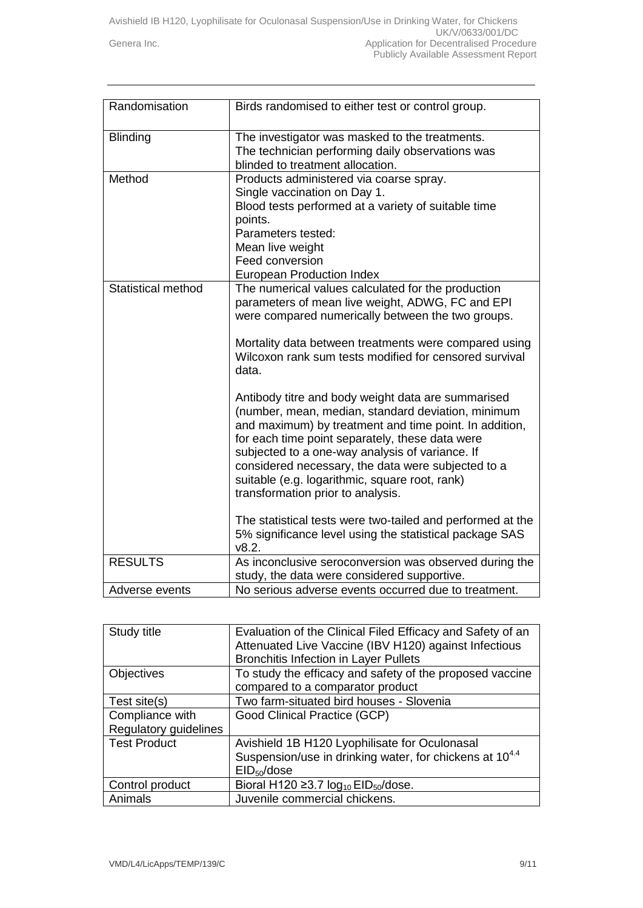| Randomisation             | Birds randomised to either test or control group.                                                                                                                                                                                                                                                                                                                                                                                                                                                                                                                                                                                                                                                                                                                                                                                                  |
|---------------------------|----------------------------------------------------------------------------------------------------------------------------------------------------------------------------------------------------------------------------------------------------------------------------------------------------------------------------------------------------------------------------------------------------------------------------------------------------------------------------------------------------------------------------------------------------------------------------------------------------------------------------------------------------------------------------------------------------------------------------------------------------------------------------------------------------------------------------------------------------|
| <b>Blinding</b>           | The investigator was masked to the treatments.<br>The technician performing daily observations was<br>blinded to treatment allocation.                                                                                                                                                                                                                                                                                                                                                                                                                                                                                                                                                                                                                                                                                                             |
| Method                    | Products administered via coarse spray.<br>Single vaccination on Day 1.<br>Blood tests performed at a variety of suitable time<br>points.<br>Parameters tested:<br>Mean live weight<br>Feed conversion<br><b>European Production Index</b>                                                                                                                                                                                                                                                                                                                                                                                                                                                                                                                                                                                                         |
| <b>Statistical method</b> | The numerical values calculated for the production<br>parameters of mean live weight, ADWG, FC and EPI<br>were compared numerically between the two groups.<br>Mortality data between treatments were compared using<br>Wilcoxon rank sum tests modified for censored survival<br>data.<br>Antibody titre and body weight data are summarised<br>(number, mean, median, standard deviation, minimum<br>and maximum) by treatment and time point. In addition,<br>for each time point separately, these data were<br>subjected to a one-way analysis of variance. If<br>considered necessary, the data were subjected to a<br>suitable (e.g. logarithmic, square root, rank)<br>transformation prior to analysis.<br>The statistical tests were two-tailed and performed at the<br>5% significance level using the statistical package SAS<br>v8.2. |
| <b>RESULTS</b>            | As inconclusive seroconversion was observed during the<br>study, the data were considered supportive.                                                                                                                                                                                                                                                                                                                                                                                                                                                                                                                                                                                                                                                                                                                                              |
| Adverse events            | No serious adverse events occurred due to treatment.                                                                                                                                                                                                                                                                                                                                                                                                                                                                                                                                                                                                                                                                                                                                                                                               |

| Study title           | Evaluation of the Clinical Filed Efficacy and Safety of an<br>Attenuated Live Vaccine (IBV H120) against Infectious |
|-----------------------|---------------------------------------------------------------------------------------------------------------------|
|                       | <b>Bronchitis Infection in Layer Pullets</b>                                                                        |
| Objectives            | To study the efficacy and safety of the proposed vaccine                                                            |
|                       | compared to a comparator product                                                                                    |
| Test site(s)          | Two farm-situated bird houses - Slovenia                                                                            |
| Compliance with       | Good Clinical Practice (GCP)                                                                                        |
| Regulatory guidelines |                                                                                                                     |
| <b>Test Product</b>   | Avishield 1B H120 Lyophilisate for Oculonasal                                                                       |
|                       | Suspension/use in drinking water, for chickens at $10^{4.4}$                                                        |
|                       | EID <sub>50</sub> /dose                                                                                             |
| Control product       | Bioral H120 $\geq$ 3.7 $log_{10}$ EID <sub>50</sub> /dose.                                                          |
| Animals               | Juvenile commercial chickens.                                                                                       |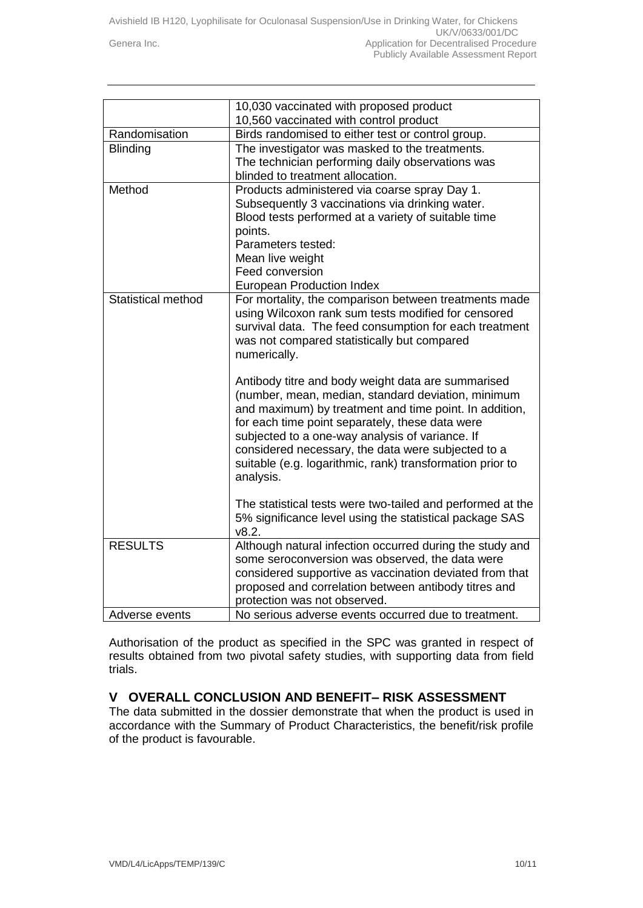|                           | 10,030 vaccinated with proposed product                                                                                                      |
|---------------------------|----------------------------------------------------------------------------------------------------------------------------------------------|
|                           | 10,560 vaccinated with control product                                                                                                       |
| Randomisation             | Birds randomised to either test or control group.                                                                                            |
| Blinding                  | The investigator was masked to the treatments.                                                                                               |
|                           | The technician performing daily observations was                                                                                             |
|                           | blinded to treatment allocation.                                                                                                             |
| Method                    | Products administered via coarse spray Day 1.                                                                                                |
|                           | Subsequently 3 vaccinations via drinking water.                                                                                              |
|                           | Blood tests performed at a variety of suitable time                                                                                          |
|                           | points.                                                                                                                                      |
|                           | Parameters tested:                                                                                                                           |
|                           | Mean live weight                                                                                                                             |
|                           | Feed conversion                                                                                                                              |
|                           | <b>European Production Index</b>                                                                                                             |
| <b>Statistical method</b> | For mortality, the comparison between treatments made                                                                                        |
|                           | using Wilcoxon rank sum tests modified for censored                                                                                          |
|                           | survival data. The feed consumption for each treatment                                                                                       |
|                           | was not compared statistically but compared                                                                                                  |
|                           | numerically.                                                                                                                                 |
|                           |                                                                                                                                              |
|                           | Antibody titre and body weight data are summarised                                                                                           |
|                           | (number, mean, median, standard deviation, minimum                                                                                           |
|                           | and maximum) by treatment and time point. In addition,                                                                                       |
|                           | for each time point separately, these data were                                                                                              |
|                           | subjected to a one-way analysis of variance. If                                                                                              |
|                           | considered necessary, the data were subjected to a                                                                                           |
|                           | suitable (e.g. logarithmic, rank) transformation prior to                                                                                    |
|                           | analysis.                                                                                                                                    |
|                           |                                                                                                                                              |
|                           | The statistical tests were two-tailed and performed at the                                                                                   |
|                           | 5% significance level using the statistical package SAS                                                                                      |
|                           | v8.2.                                                                                                                                        |
| <b>RESULTS</b>            | Although natural infection occurred during the study and                                                                                     |
|                           | some seroconversion was observed, the data were                                                                                              |
|                           | considered supportive as vaccination deviated from that                                                                                      |
|                           |                                                                                                                                              |
|                           |                                                                                                                                              |
|                           |                                                                                                                                              |
| Adverse events            | proposed and correlation between antibody titres and<br>protection was not observed.<br>No serious adverse events occurred due to treatment. |

Authorisation of the product as specified in the SPC was granted in respect of results obtained from two pivotal safety studies, with supporting data from field trials.

### **V OVERALL CONCLUSION AND BENEFIT– RISK ASSESSMENT**

The data submitted in the dossier demonstrate that when the product is used in accordance with the Summary of Product Characteristics, the benefit/risk profile of the product is favourable.